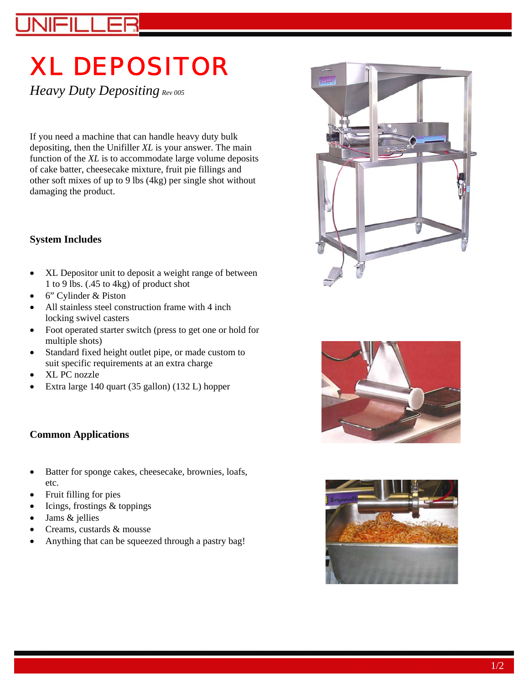# XL DEPOSITOR

*Heavy Duty Depositing Rev 005* 

If you need a machine that can handle heavy duty bulk depositing, then the Unifiller *XL* is your answer. The main function of the *XL* is to accommodate large volume deposits of cake batter, cheesecake mixture, fruit pie fillings and other soft mixes of up to 9 lbs (4kg) per single shot without damaging the product.

#### **System Includes**

- XL Depositor unit to deposit a weight range of between 1 to 9 lbs. (.45 to 4kg) of product shot
- 6" Cylinder & Piston
- All stainless steel construction frame with 4 inch locking swivel casters
- Foot operated starter switch (press to get one or hold for multiple shots)
- Standard fixed height outlet pipe, or made custom to suit specific requirements at an extra charge
- XL PC nozzle
- Extra large 140 quart (35 gallon) (132 L) hopper

## **Common Applications**

- Batter for sponge cakes, cheesecake, brownies, loafs, etc.
- Fruit filling for pies
- Icings, frostings & toppings
- Jams & jellies
- Creams, custards & mousse
- Anything that can be squeezed through a pastry bag!